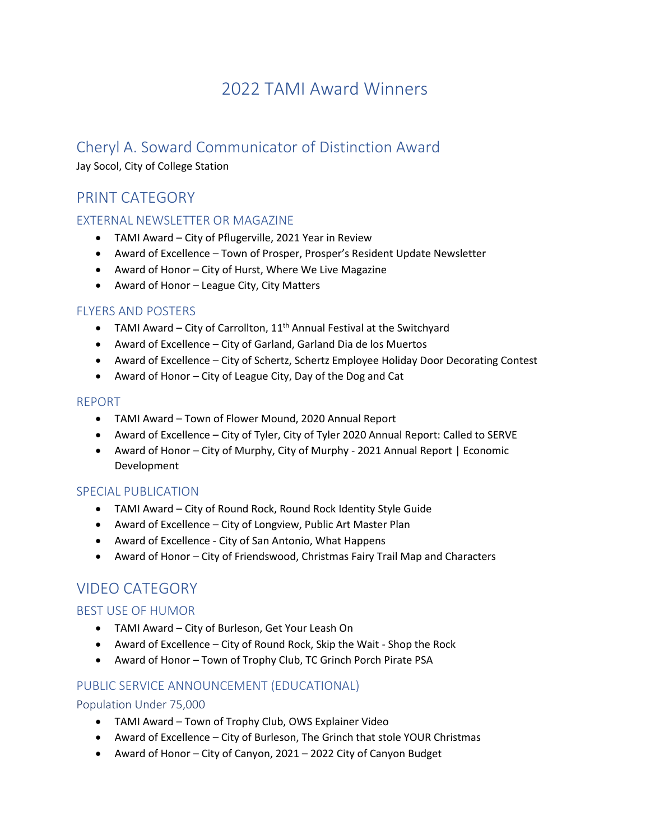# 2022 TAMI Award Winners

# Cheryl A. Soward Communicator of Distinction Award

Jay Socol, City of College Station

# PRINT CATEGORY

## EXTERNAL NEWSLETTER OR MAGAZINE

- TAMI Award City of Pflugerville, 2021 Year in Review
- Award of Excellence Town of Prosper, Prosper's Resident Update Newsletter
- Award of Honor City of Hurst, Where We Live Magazine
- Award of Honor League City, City Matters

## FLYERS AND POSTERS

- TAMI Award City of Carrollton,  $11<sup>th</sup>$  Annual Festival at the Switchyard
- Award of Excellence City of Garland, Garland Dia de los Muertos
- Award of Excellence City of Schertz, Schertz Employee Holiday Door Decorating Contest
- Award of Honor City of League City, Day of the Dog and Cat

#### REPORT

- TAMI Award Town of Flower Mound, 2020 Annual Report
- Award of Excellence City of Tyler, City of Tyler 2020 Annual Report: Called to SERVE
- Award of Honor City of Murphy, City of Murphy 2021 Annual Report | Economic Development

## SPECIAL PUBLICATION

- TAMI Award City of Round Rock, Round Rock Identity Style Guide
- Award of Excellence City of Longview, Public Art Master Plan
- Award of Excellence City of San Antonio, What Happens
- Award of Honor City of Friendswood, Christmas Fairy Trail Map and Characters

# VIDEO CATEGORY

## BEST USE OF HUMOR

- TAMI Award City of Burleson, Get Your Leash On
- Award of Excellence City of Round Rock, Skip the Wait Shop the Rock
- Award of Honor Town of Trophy Club, TC Grinch Porch Pirate PSA

## PUBLIC SERVICE ANNOUNCEMENT (EDUCATIONAL)

## Population Under 75,000

- TAMI Award Town of Trophy Club, OWS Explainer Video
- Award of Excellence City of Burleson, The Grinch that stole YOUR Christmas
- Award of Honor City of Canyon, 2021 2022 City of Canyon Budget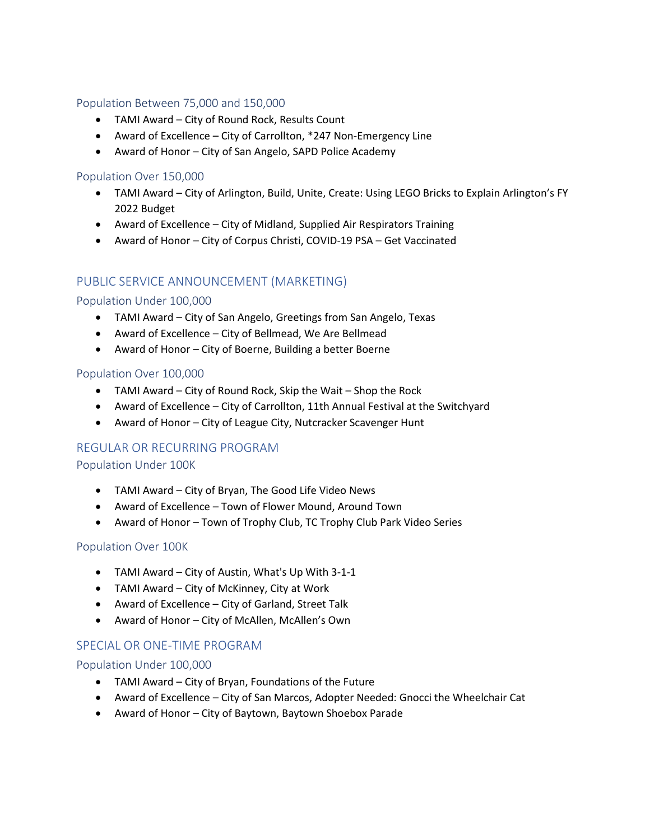#### Population Between 75,000 and 150,000

- TAMI Award City of Round Rock, Results Count
- Award of Excellence City of Carrollton, \*247 Non-Emergency Line
- Award of Honor City of San Angelo, SAPD Police Academy

#### Population Over 150,000

- TAMI Award City of Arlington, Build, Unite, Create: Using LEGO Bricks to Explain Arlington's FY 2022 Budget
- Award of Excellence City of Midland, Supplied Air Respirators Training
- Award of Honor City of Corpus Christi, COVID-19 PSA Get Vaccinated

## PUBLIC SERVICE ANNOUNCEMENT (MARKETING)

#### Population Under 100,000

- TAMI Award City of San Angelo, Greetings from San Angelo, Texas
- Award of Excellence City of Bellmead, We Are Bellmead
- Award of Honor City of Boerne, Building a better Boerne

#### Population Over 100,000

- TAMI Award City of Round Rock, Skip the Wait Shop the Rock
- Award of Excellence City of Carrollton, 11th Annual Festival at the Switchyard
- Award of Honor City of League City, Nutcracker Scavenger Hunt

#### REGULAR OR RECURRING PROGRAM

#### Population Under 100K

- TAMI Award City of Bryan, The Good Life Video News
- Award of Excellence Town of Flower Mound, Around Town
- Award of Honor Town of Trophy Club, TC Trophy Club Park Video Series

#### Population Over 100K

- TAMI Award City of Austin, What's Up With 3-1-1
- TAMI Award City of McKinney, City at Work
- Award of Excellence City of Garland, Street Talk
- Award of Honor City of McAllen, McAllen's Own

#### SPECIAL OR ONE-TIME PROGRAM

#### Population Under 100,000

- TAMI Award City of Bryan, Foundations of the Future
- Award of Excellence City of San Marcos, Adopter Needed: Gnocci the Wheelchair Cat
- Award of Honor City of Baytown, Baytown Shoebox Parade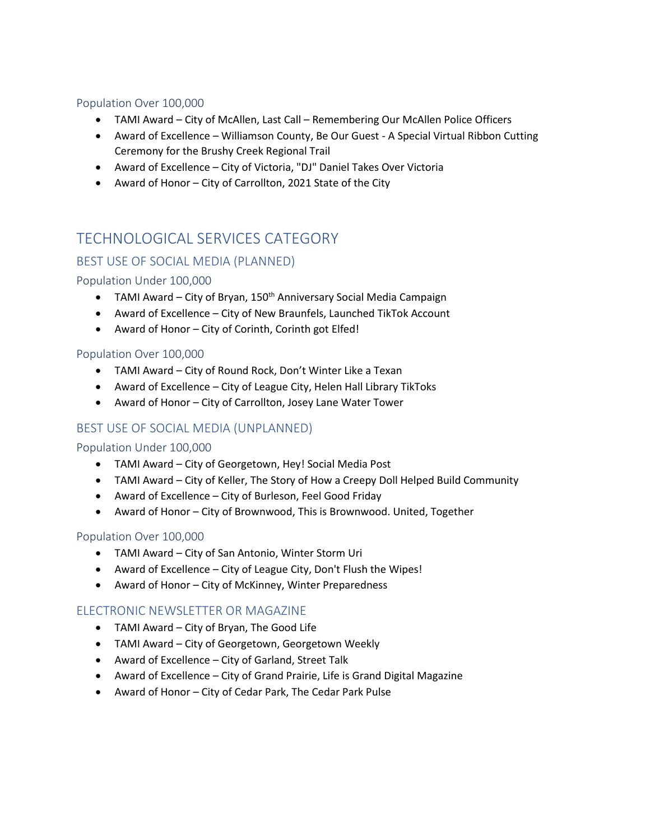#### Population Over 100,000

- TAMI Award City of McAllen, Last Call Remembering Our McAllen Police Officers
- Award of Excellence Williamson County, Be Our Guest A Special Virtual Ribbon Cutting Ceremony for the Brushy Creek Regional Trail
- Award of Excellence City of Victoria, "DJ" Daniel Takes Over Victoria
- Award of Honor City of Carrollton, 2021 State of the City

# TECHNOLOGICAL SERVICES CATEGORY

## BEST USE OF SOCIAL MEDIA (PLANNED)

## Population Under 100,000

- TAMI Award City of Bryan,  $150<sup>th</sup>$  Anniversary Social Media Campaign
- Award of Excellence City of New Braunfels, Launched TikTok Account
- Award of Honor City of Corinth, Corinth got Elfed!

#### Population Over 100,000

- TAMI Award City of Round Rock, Don't Winter Like a Texan
- Award of Excellence City of League City, Helen Hall Library TikToks
- Award of Honor City of Carrollton, Josey Lane Water Tower

## BEST USE OF SOCIAL MEDIA (UNPLANNED)

#### Population Under 100,000

- TAMI Award City of Georgetown, Hey! Social Media Post
- TAMI Award City of Keller, The Story of How a Creepy Doll Helped Build Community
- Award of Excellence City of Burleson, Feel Good Friday
- Award of Honor City of Brownwood, This is Brownwood. United, Together

#### Population Over 100,000

- TAMI Award City of San Antonio, Winter Storm Uri
- Award of Excellence City of League City, Don't Flush the Wipes!
- Award of Honor City of McKinney, Winter Preparedness

#### ELECTRONIC NEWSLETTER OR MAGAZINE

- TAMI Award City of Bryan, The Good Life
- TAMI Award City of Georgetown, Georgetown Weekly
- Award of Excellence City of Garland, Street Talk
- Award of Excellence City of Grand Prairie, Life is Grand Digital Magazine
- Award of Honor City of Cedar Park, The Cedar Park Pulse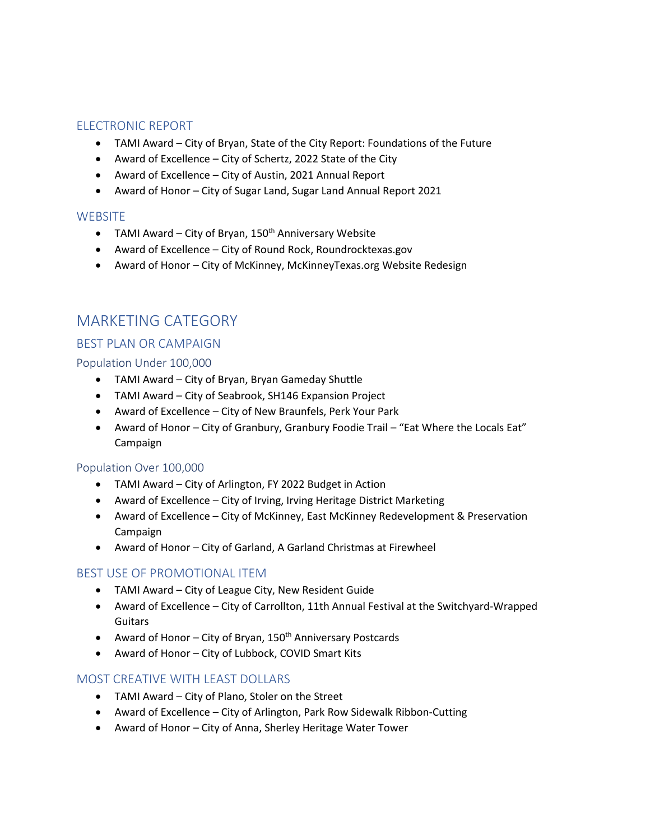## ELECTRONIC REPORT

- TAMI Award City of Bryan, State of the City Report: Foundations of the Future
- Award of Excellence City of Schertz, 2022 State of the City
- Award of Excellence City of Austin, 2021 Annual Report
- Award of Honor City of Sugar Land, Sugar Land Annual Report 2021

#### **WEBSITE**

- TAMI Award City of Bryan,  $150<sup>th</sup>$  Anniversary Website
- Award of Excellence City of Round Rock, Roundrocktexas.gov
- Award of Honor City of McKinney, McKinneyTexas.org Website Redesign

## MARKETING CATEGORY

## BEST PLAN OR CAMPAIGN

#### Population Under 100,000

- TAMI Award City of Bryan, Bryan Gameday Shuttle
- TAMI Award City of Seabrook, SH146 Expansion Project
- Award of Excellence City of New Braunfels, Perk Your Park
- Award of Honor City of Granbury, Granbury Foodie Trail "Eat Where the Locals Eat" Campaign

#### Population Over 100,000

- TAMI Award City of Arlington, FY 2022 Budget in Action
- Award of Excellence City of Irving, Irving Heritage District Marketing
- Award of Excellence City of McKinney, East McKinney Redevelopment & Preservation Campaign
- Award of Honor City of Garland, A Garland Christmas at Firewheel

#### BEST USE OF PROMOTIONAL ITEM

- TAMI Award City of League City, New Resident Guide
- Award of Excellence City of Carrollton, 11th Annual Festival at the Switchyard-Wrapped Guitars
- Award of Honor City of Bryan,  $150<sup>th</sup>$  Anniversary Postcards
- Award of Honor City of Lubbock, COVID Smart Kits

#### MOST CREATIVE WITH LEAST DOLLARS

- TAMI Award City of Plano, Stoler on the Street
- Award of Excellence City of Arlington, Park Row Sidewalk Ribbon-Cutting
- Award of Honor City of Anna, Sherley Heritage Water Tower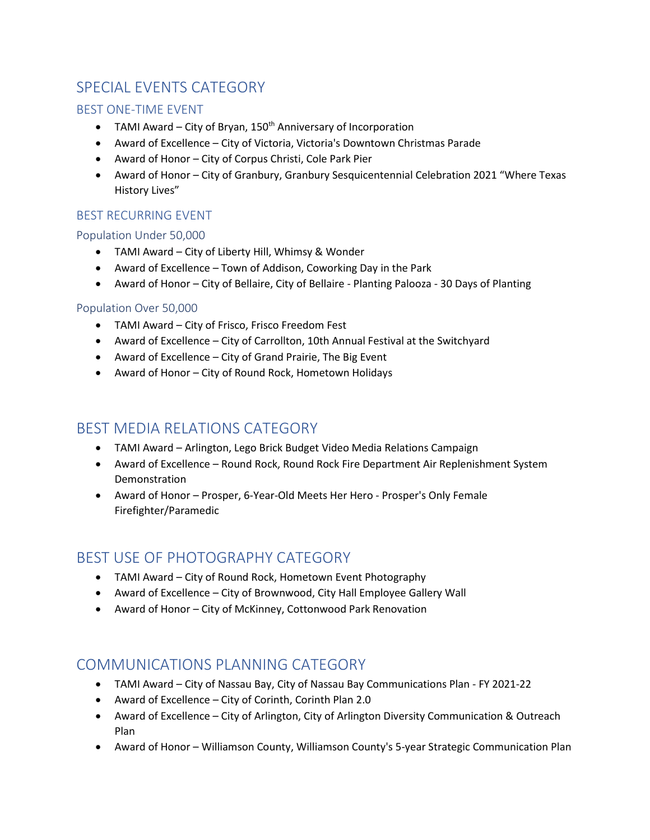# SPECIAL EVENTS CATEGORY

## BEST ONE-TIME EVENT

- TAMI Award City of Bryan,  $150<sup>th</sup>$  Anniversary of Incorporation
- Award of Excellence City of Victoria, Victoria's Downtown Christmas Parade
- Award of Honor City of Corpus Christi, Cole Park Pier
- Award of Honor City of Granbury, Granbury Sesquicentennial Celebration 2021 "Where Texas History Lives"

## BEST RECURRING EVENT

## Population Under 50,000

- TAMI Award City of Liberty Hill, Whimsy & Wonder
- Award of Excellence Town of Addison, Coworking Day in the Park
- Award of Honor City of Bellaire, City of Bellaire Planting Palooza 30 Days of Planting

## Population Over 50,000

- TAMI Award City of Frisco, Frisco Freedom Fest
- Award of Excellence City of Carrollton, 10th Annual Festival at the Switchyard
- Award of Excellence City of Grand Prairie, The Big Event
- Award of Honor City of Round Rock, Hometown Holidays

## BEST MEDIA RELATIONS CATEGORY

- TAMI Award Arlington, Lego Brick Budget Video Media Relations Campaign
- Award of Excellence Round Rock, Round Rock Fire Department Air Replenishment System Demonstration
- Award of Honor Prosper, 6-Year-Old Meets Her Hero Prosper's Only Female Firefighter/Paramedic

## BEST USE OF PHOTOGRAPHY CATEGORY

- TAMI Award City of Round Rock, Hometown Event Photography
- Award of Excellence City of Brownwood, City Hall Employee Gallery Wall
- Award of Honor City of McKinney, Cottonwood Park Renovation

## COMMUNICATIONS PLANNING CATEGORY

- TAMI Award City of Nassau Bay, City of Nassau Bay Communications Plan FY 2021-22
- Award of Excellence City of Corinth, Corinth Plan 2.0
- Award of Excellence City of Arlington, City of Arlington Diversity Communication & Outreach Plan
- Award of Honor Williamson County, Williamson County's 5-year Strategic Communication Plan